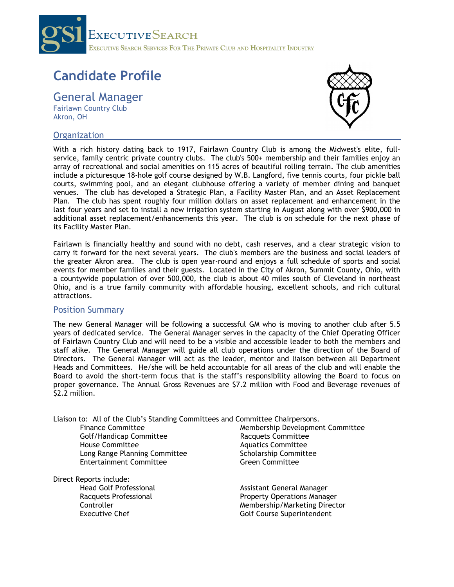

# **Candidate Profile**

General Manager Fairlawn Country Club Akron, OH

## **Organization**



With a rich history dating back to 1917, Fairlawn Country Club is among the Midwest's elite, fullservice, family centric private country clubs. The club's 500+ membership and their families enjoy an array of recreational and social amenities on 115 acres of beautiful rolling terrain. The club amenities include a picturesque 18-hole golf course designed by W.B. Langford, five tennis courts, four pickle ball courts, swimming pool, and an elegant clubhouse offering a variety of member dining and banquet venues. The club has developed a Strategic Plan, a Facility Master Plan, and an Asset Replacement Plan. The club has spent roughly four million dollars on asset replacement and enhancement in the last four years and set to install a new irrigation system starting in August along with over \$900,000 in additional asset replacement/enhancements this year. The club is on schedule for the next phase of its Facility Master Plan.

Fairlawn is financially healthy and sound with no debt, cash reserves, and a clear strategic vision to carry it forward for the next several years. The club's members are the business and social leaders of the greater Akron area. The club is open year-round and enjoys a full schedule of sports and social events for member families and their guests. Located in the City of Akron, Summit County, Ohio, with a countywide population of over 500,000, the club is about 40 miles south of Cleveland in northeast Ohio, and is a true family community with affordable housing, excellent schools, and rich cultural attractions.

### Position Summary

The new General Manager will be following a successful GM who is moving to another club after 5.5 years of dedicated service. The General Manager serves in the capacity of the Chief Operating Officer of Fairlawn Country Club and will need to be a visible and accessible leader to both the members and staff alike. The General Manager will guide all club operations under the direction of the Board of Directors. The General Manager will act as the leader, mentor and liaison between all Department Heads and Committees. He/she will be held accountable for all areas of the club and will enable the Board to avoid the short-term focus that is the staff's responsibility allowing the Board to focus on proper governance. The Annual Gross Revenues are \$7.2 million with Food and Beverage revenues of \$2.2 million.

Liaison to: All of the Club's Standing Committees and Committee Chairpersons.<br>Finance Committee Membership Developmer

Golf/Handicap Committee Racquets Committee House Committee **Aquatics Committee**<br>
Long Range Planning Committee **Access Committee** Scholarship Committee Long Range Planning Committee **Entertainment Committee Green Committee Committee** 

Direct Reports include:

Membership Development Committee

Head Golf Professional **Assistant General Manager** Racquets Professional **Property Operations Manager** Controller Membership/Marketing Director<br>
Executive Chef Membership Golf Course Superintendent Golf Course Superintendent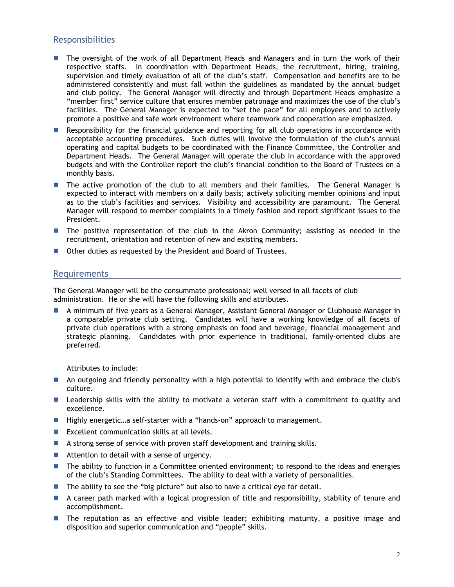## **Responsibilities**

- The oversight of the work of all Department Heads and Managers and in turn the work of their respective staffs. In coordination with Department Heads, the recruitment, hiring, training, supervision and timely evaluation of all of the club's staff. Compensation and benefits are to be administered consistently and must fall within the guidelines as mandated by the annual budget and club policy. The General Manager will directly and through Department Heads emphasize a "member first" service culture that ensures member patronage and maximizes the use of the club's facilities. The General Manager is expected to "set the pace" for all employees and to actively promote a positive and safe work environment where teamwork and cooperation are emphasized.
- **Responsibility for the financial guidance and reporting for all club operations in accordance with** acceptable accounting procedures. Such duties will involve the formulation of the club's annual operating and capital budgets to be coordinated with the Finance Committee, the Controller and Department Heads. The General Manager will operate the club in accordance with the approved budgets and with the Controller report the club's financial condition to the Board of Trustees on a monthly basis.
- The active promotion of the club to all members and their families. The General Manager is expected to interact with members on a daily basis; actively soliciting member opinions and input as to the club's facilities and services. Visibility and accessibility are paramount. The General Manager will respond to member complaints in a timely fashion and report significant issues to the President.
- **The positive representation of the club in the Akron Community; assisting as needed in the** recruitment, orientation and retention of new and existing members.
- Other duties as requested by the President and Board of Trustees.

### Requirements

The General Manager will be the consummate professional; well versed in all facets of club administration. He or she will have the following skills and attributes.

 A minimum of five years as a General Manager, Assistant General Manager or Clubhouse Manager in a comparable private club setting. Candidates will have a working knowledge of all facets of private club operations with a strong emphasis on food and beverage, financial management and strategic planning. Candidates with prior experience in traditional, family-oriented clubs are preferred.

Attributes to include:

- An outgoing and friendly personality with a high potential to identify with and embrace the club's culture.
- **Leadership skills with the ability to motivate a veteran staff with a commitment to quality and** excellence.
- Highly energetic...a self-starter with a "hands-on" approach to management.
- Excellent communication skills at all levels.
- A strong sense of service with proven staff development and training skills.
- Attention to detail with a sense of urgency.
- The ability to function in a Committee oriented environment; to respond to the ideas and energies of the club's Standing Committees. The ability to deal with a variety of personalities.
- **The ability to see the "big picture" but also to have a critical eye for detail.**
- A career path marked with a logical progression of title and responsibility, stability of tenure and accomplishment.
- The reputation as an effective and visible leader; exhibiting maturity, a positive image and disposition and superior communication and "people" skills.